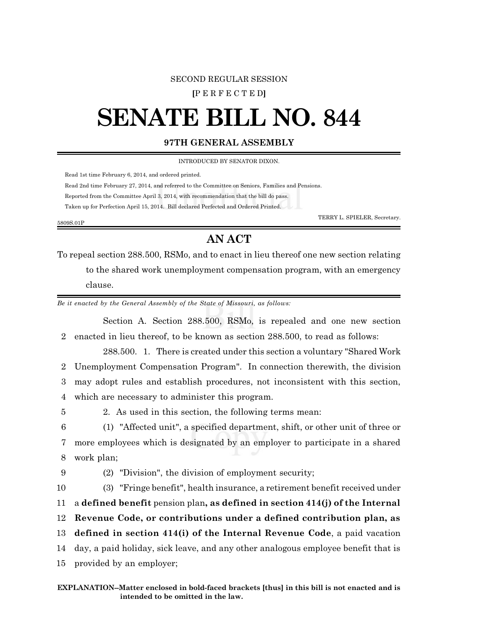## SECOND REGULAR SESSION

**[**P E R F E C T E D**]**

## **SENATE BILL NO. 844**

## **97TH GENERAL ASSEMBLY**

INTRODUCED BY SENATOR DIXON.

Read 1st time February 6, 2014, and ordered printed.

Read 2nd time February 27, 2014, and referred to the Committee on Seniors, Families and Pensions.

Reported from the Committee April 3, 2014, with recommendation that the bill do pass.

Taken up for Perfection April 15, 2014. Bill declared Perfected and Ordered Printed.

5809S.01P

TERRY L. SPIELER, Secretary.

## **AN ACT**

To repeal section 288.500, RSMo, and to enact in lieu thereof one new section relating to the shared work unemployment compensation program, with an emergency clause.

*Be it enacted by the General Assembly of the State of Missouri, as follows:*

Section A. Section 288.500, RSMo, is repealed and one new section 2 enacted in lieu thereof, to be known as section 288.500, to read as follows:

288.500. 1. There is created under this section a voluntary "Shared Work Unemployment Compensation Program". In connection therewith, the division may adopt rules and establish procedures, not inconsistent with this section, which are necessary to administer this program.

5 2. As used in this section, the following terms mean:

6 (1) "Affected unit", a specified department, shift, or other unit of three or 7 more employees which is designated by an employer to participate in a shared 8 work plan;

9 (2) "Division", the division of employment security;

 (3) "Fringe benefit", health insurance, a retirement benefit received under a **defined benefit** pension plan**, as defined in section 414(j) of the Internal Revenue Code, or contributions under a defined contribution plan, as defined in section 414(i) of the Internal Revenue Code**, a paid vacation day, a paid holiday, sick leave, and any other analogous employee benefit that is provided by an employer;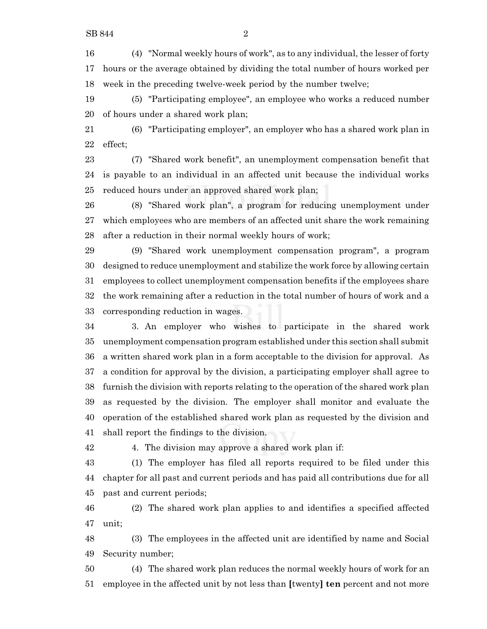(4) "Normal weekly hours of work", as to any individual, the lesser of forty hours or the average obtained by dividing the total number of hours worked per week in the preceding twelve-week period by the number twelve;

 (5) "Participating employee", an employee who works a reduced number of hours under a shared work plan;

 (6) "Participating employer", an employer who has a shared work plan in effect;

 (7) "Shared work benefit", an unemployment compensation benefit that is payable to an individual in an affected unit because the individual works reduced hours under an approved shared work plan;

 (8) "Shared work plan", a program for reducing unemployment under which employees who are members of an affected unit share the work remaining after a reduction in their normal weekly hours of work;

 (9) "Shared work unemployment compensation program", a program designed to reduce unemployment and stabilize the work force by allowing certain employees to collect unemployment compensation benefits if the employees share the work remaining after a reduction in the total number of hours of work and a corresponding reduction in wages.

 3. An employer who wishes to participate in the shared work unemployment compensation program established under this section shall submit a written shared work plan in a form acceptable to the division for approval. As a condition for approval by the division, a participating employer shall agree to furnish the division with reports relating to the operation of the shared work plan as requested by the division. The employer shall monitor and evaluate the operation of the established shared work plan as requested by the division and shall report the findings to the division.

4. The division may approve a shared work plan if:

 (1) The employer has filed all reports required to be filed under this chapter for all past and current periods and has paid all contributions due for all past and current periods;

 (2) The shared work plan applies to and identifies a specified affected unit;

 (3) The employees in the affected unit are identified by name and Social Security number;

 (4) The shared work plan reduces the normal weekly hours of work for an employee in the affected unit by not less than **[**twenty**] ten** percent and not more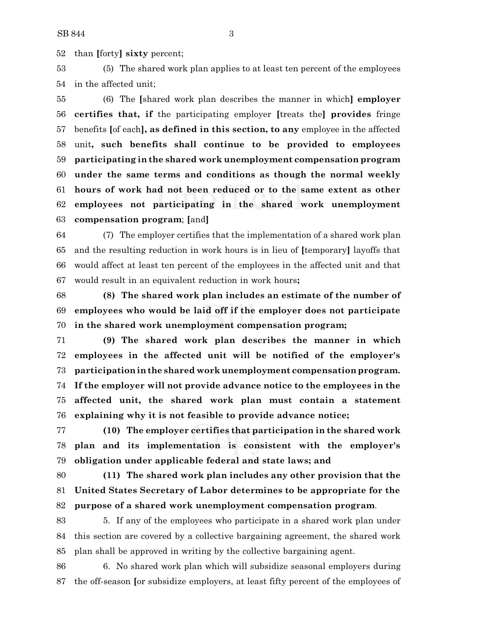than **[**forty**] sixty** percent;

 (5) The shared work plan applies to at least ten percent of the employees in the affected unit;

 (6) The **[**shared work plan describes the manner in which**] employer certifies that, if** the participating employer **[**treats the**] provides** fringe benefits **[**of each**], as defined in this section, to any** employee in the affected unit**, such benefits shall continue to be provided to employees participating in the shared work unemployment compensation program under the same terms and conditions as though the normal weekly hours of work had not been reduced or to the same extent as other employees not participating in the shared work unemployment compensation program**; **[**and**]**

 (7) The employer certifies that the implementation of a shared work plan and the resulting reduction in work hours is in lieu of **[**temporary**]** layoffs that would affect at least ten percent of the employees in the affected unit and that would result in an equivalent reduction in work hours**;**

 **(8) The shared work plan includes an estimate of the number of employees who would be laid off if the employer does not participate in the shared work unemployment compensation program;**

 **(9) The shared work plan describes the manner in which employees in the affected unit will be notified of the employer's participationinthe shared work unemployment compensation program. If the employer will not provide advance notice to the employees in the affected unit, the shared work plan must contain a statement explaining why it is not feasible to provide advance notice;**

 **(10) The employer certifies that participation in the shared work plan and its implementation is consistent with the employer's obligation under applicable federal and state laws; and**

 **(11) The shared work plan includes any other provision that the United States Secretary of Labor determines to be appropriate for the purpose of a shared work unemployment compensation program**.

 5. If any of the employees who participate in a shared work plan under this section are covered by a collective bargaining agreement, the shared work plan shall be approved in writing by the collective bargaining agent.

 6. No shared work plan which will subsidize seasonal employers during the off-season **[**or subsidize employers, at least fifty percent of the employees of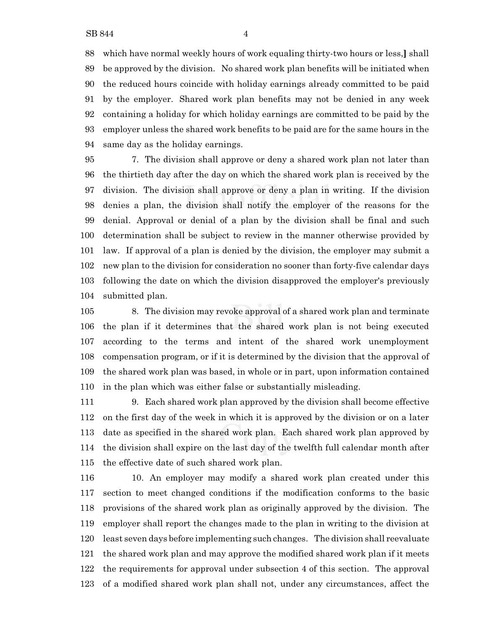which have normal weekly hours of work equaling thirty-two hours or less,**]** shall be approved by the division. No shared work plan benefits will be initiated when the reduced hours coincide with holiday earnings already committed to be paid by the employer. Shared work plan benefits may not be denied in any week containing a holiday for which holiday earnings are committed to be paid by the employer unless the shared work benefits to be paid are for the same hours in the same day as the holiday earnings.

 7. The division shall approve or deny a shared work plan not later than the thirtieth day after the day on which the shared work plan is received by the division. The division shall approve or deny a plan in writing. If the division denies a plan, the division shall notify the employer of the reasons for the denial. Approval or denial of a plan by the division shall be final and such determination shall be subject to review in the manner otherwise provided by law. If approval of a plan is denied by the division, the employer may submit a new plan to the division for consideration no sooner than forty-five calendar days following the date on which the division disapproved the employer's previously submitted plan.

 8. The division may revoke approval of a shared work plan and terminate the plan if it determines that the shared work plan is not being executed according to the terms and intent of the shared work unemployment compensation program, or if it is determined by the division that the approval of the shared work plan was based, in whole or in part, upon information contained in the plan which was either false or substantially misleading.

 9. Each shared work plan approved by the division shall become effective on the first day of the week in which it is approved by the division or on a later date as specified in the shared work plan. Each shared work plan approved by the division shall expire on the last day of the twelfth full calendar month after the effective date of such shared work plan.

 10. An employer may modify a shared work plan created under this section to meet changed conditions if the modification conforms to the basic provisions of the shared work plan as originally approved by the division. The employer shall report the changes made to the plan in writing to the division at least seven days before implementing such changes. The division shall reevaluate the shared work plan and may approve the modified shared work plan if it meets the requirements for approval under subsection 4 of this section. The approval of a modified shared work plan shall not, under any circumstances, affect the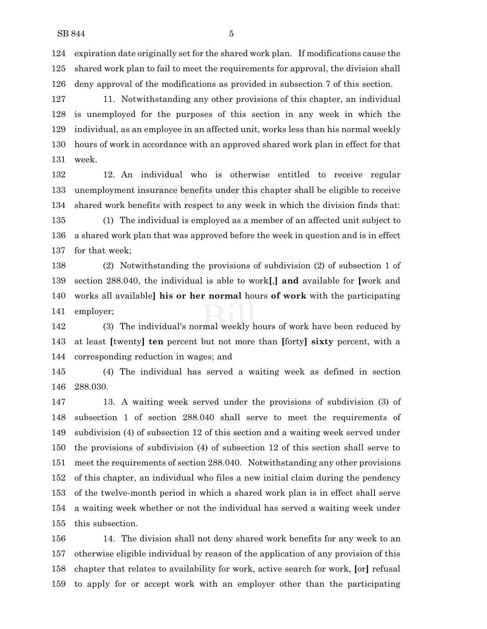expiration date originally set for the shared work plan. If modifications cause the shared work plan to fail to meet the requirements for approval, the division shall deny approval of the modifications as provided in subsection 7 of this section.

 11. Notwithstanding any other provisions of this chapter, an individual is unemployed for the purposes of this section in any week in which the individual, as an employee in an affected unit, works less than his normal weekly hours of work in accordance with an approved shared work plan in effect for that week.

 12. An individual who is otherwise entitled to receive regular unemployment insurance benefits under this chapter shall be eligible to receive shared work benefits with respect to any week in which the division finds that: (1) The individual is employed as a member of an affected unit subject to a shared work plan that was approved before the week in question and is in effect

for that week;

 (2) Notwithstanding the provisions of subdivision (2) of subsection 1 of section 288.040, the individual is able to work**[**,**] and** available for **[**work and works all available**] his or her normal** hours **of work** with the participating employer;

 (3) The individual's normal weekly hours of work have been reduced by at least **[**twenty**] ten** percent but not more than **[**forty**] sixty** percent, with a corresponding reduction in wages; and

 (4) The individual has served a waiting week as defined in section 288.030.

 13. A waiting week served under the provisions of subdivision (3) of subsection 1 of section 288.040 shall serve to meet the requirements of subdivision (4) of subsection 12 of this section and a waiting week served under the provisions of subdivision (4) of subsection 12 of this section shall serve to meet the requirements of section 288.040. Notwithstanding any other provisions of this chapter, an individual who files a new initial claim during the pendency of the twelve-month period in which a shared work plan is in effect shall serve a waiting week whether or not the individual has served a waiting week under this subsection.

 14. The division shall not deny shared work benefits for any week to an otherwise eligible individual by reason of the application of any provision of this chapter that relates to availability for work, active search for work, **[**or**]** refusal to apply for or accept work with an employer other than the participating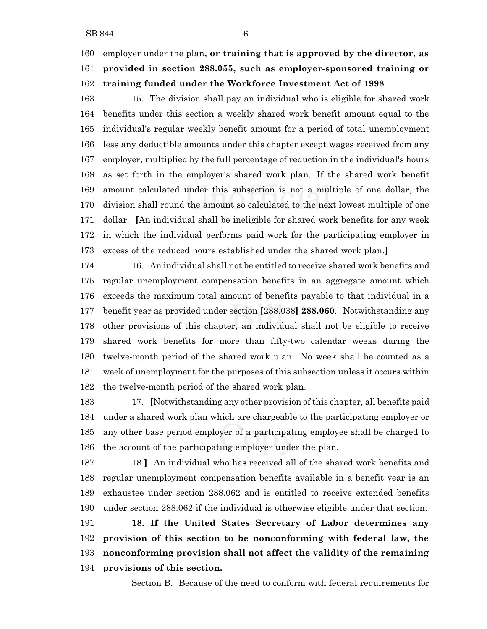employer under the plan**, or training that is approved by the director, as provided in section 288.055, such as employer-sponsored training or training funded under the Workforce Investment Act of 1998**.

 15. The division shall pay an individual who is eligible for shared work benefits under this section a weekly shared work benefit amount equal to the individual's regular weekly benefit amount for a period of total unemployment less any deductible amounts under this chapter except wages received from any employer, multiplied by the full percentage of reduction in the individual's hours as set forth in the employer's shared work plan. If the shared work benefit amount calculated under this subsection is not a multiple of one dollar, the division shall round the amount so calculated to the next lowest multiple of one dollar. **[**An individual shall be ineligible for shared work benefits for any week in which the individual performs paid work for the participating employer in excess of the reduced hours established under the shared work plan.**]**

 16. An individual shall not be entitled to receive shared work benefits and regular unemployment compensation benefits in an aggregate amount which exceeds the maximum total amount of benefits payable to that individual in a benefit year as provided under section **[**288.038**] 288.060**. Notwithstanding any other provisions of this chapter, an individual shall not be eligible to receive shared work benefits for more than fifty-two calendar weeks during the twelve-month period of the shared work plan. No week shall be counted as a week of unemployment for the purposes of this subsection unless it occurs within the twelve-month period of the shared work plan.

 17. **[**Notwithstanding any other provision of this chapter, all benefits paid under a shared work plan which are chargeable to the participating employer or any other base period employer of a participating employee shall be charged to the account of the participating employer under the plan.

 18.**]** An individual who has received all of the shared work benefits and regular unemployment compensation benefits available in a benefit year is an exhaustee under section 288.062 and is entitled to receive extended benefits under section 288.062 if the individual is otherwise eligible under that section.

 **18. If the United States Secretary of Labor determines any provision of this section to be nonconforming with federal law, the nonconforming provision shall not affect the validity of the remaining provisions of this section.**

Section B. Because of the need to conform with federal requirements for